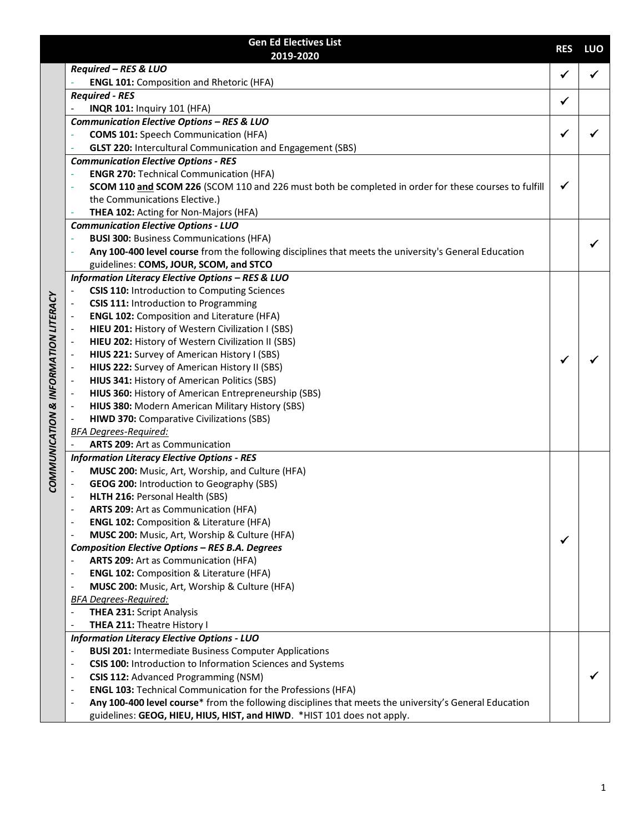|                                      | <b>Gen Ed Electives List</b>                                                                                                                            | <b>RES</b>   | LUO |
|--------------------------------------|---------------------------------------------------------------------------------------------------------------------------------------------------------|--------------|-----|
|                                      | 2019-2020                                                                                                                                               |              |     |
|                                      | Required - RES & LUO                                                                                                                                    | $\checkmark$ |     |
|                                      | <b>ENGL 101: Composition and Rhetoric (HFA)</b>                                                                                                         |              |     |
|                                      | <b>Required - RES</b>                                                                                                                                   | $\checkmark$ |     |
|                                      | <b>INQR 101: Inquiry 101 (HFA)</b>                                                                                                                      |              |     |
|                                      | Communication Elective Options - RES & LUO                                                                                                              | ✔            |     |
|                                      | <b>COMS 101:</b> Speech Communication (HFA)                                                                                                             |              |     |
|                                      | <b>GLST 220: Intercultural Communication and Engagement (SBS)</b>                                                                                       |              |     |
|                                      | <b>Communication Elective Options - RES</b>                                                                                                             |              |     |
|                                      | <b>ENGR 270: Technical Communication (HFA)</b>                                                                                                          | ✔            |     |
|                                      | SCOM 110 and SCOM 226 (SCOM 110 and 226 must both be completed in order for these courses to fulfill                                                    |              |     |
|                                      | the Communications Elective.)<br>THEA 102: Acting for Non-Majors (HFA)                                                                                  |              |     |
|                                      |                                                                                                                                                         |              |     |
|                                      | <b>Communication Elective Options - LUO</b>                                                                                                             |              |     |
|                                      | <b>BUSI 300: Business Communications (HFA)</b><br>Any 100-400 level course from the following disciplines that meets the university's General Education |              |     |
|                                      |                                                                                                                                                         |              |     |
|                                      | guidelines: COMS, JOUR, SCOM, and STCO                                                                                                                  |              |     |
|                                      | <b>Information Literacy Elective Options - RES &amp; LUO</b>                                                                                            |              |     |
|                                      | <b>CSIS 110: Introduction to Computing Sciences</b>                                                                                                     |              |     |
|                                      | CSIS 111: Introduction to Programming<br><b>ENGL 102: Composition and Literature (HFA)</b>                                                              |              |     |
|                                      | HIEU 201: History of Western Civilization I (SBS)                                                                                                       |              |     |
|                                      | HIEU 202: History of Western Civilization II (SBS)                                                                                                      |              |     |
|                                      | HIUS 221: Survey of American History I (SBS)                                                                                                            |              |     |
|                                      | HIUS 222: Survey of American History II (SBS)                                                                                                           | $\checkmark$ |     |
|                                      | HIUS 341: History of American Politics (SBS)                                                                                                            |              |     |
|                                      | HIUS 360: History of American Entrepreneurship (SBS)                                                                                                    |              |     |
|                                      | HIUS 380: Modern American Military History (SBS)                                                                                                        |              |     |
|                                      | <b>HIWD 370: Comparative Civilizations (SBS)</b>                                                                                                        |              |     |
|                                      | <b>BFA Degrees-Required:</b>                                                                                                                            |              |     |
|                                      | <b>ARTS 209: Art as Communication</b>                                                                                                                   |              |     |
| COMMUNICATION & INFORMATION LITERACY | <b>Information Literacy Elective Options - RES</b>                                                                                                      |              |     |
|                                      | MUSC 200: Music, Art, Worship, and Culture (HFA)                                                                                                        |              |     |
|                                      | GEOG 200: Introduction to Geography (SBS)                                                                                                               |              |     |
|                                      | HLTH 216: Personal Health (SBS)                                                                                                                         |              |     |
|                                      | <b>ARTS 209: Art as Communication (HFA)</b>                                                                                                             |              |     |
|                                      | <b>ENGL 102: Composition &amp; Literature (HFA)</b><br>$\overline{\phantom{a}}$                                                                         |              |     |
|                                      | MUSC 200: Music, Art, Worship & Culture (HFA)                                                                                                           |              |     |
|                                      | <b>Composition Elective Options - RES B.A. Degrees</b>                                                                                                  | ✔            |     |
|                                      | ARTS 209: Art as Communication (HFA)                                                                                                                    |              |     |
|                                      | <b>ENGL 102: Composition &amp; Literature (HFA)</b><br>$\overline{\phantom{a}}$                                                                         |              |     |
|                                      | MUSC 200: Music, Art, Worship & Culture (HFA)<br>$\overline{\phantom{a}}$                                                                               |              |     |
|                                      | <b>BFA Degrees-Required:</b>                                                                                                                            |              |     |
|                                      | <b>THEA 231: Script Analysis</b><br>$\qquad \qquad \blacksquare$                                                                                        |              |     |
|                                      | THEA 211: Theatre History I<br>$\overline{\phantom{a}}$                                                                                                 |              |     |
|                                      | <b>Information Literacy Elective Options - LUO</b>                                                                                                      |              |     |
|                                      | <b>BUSI 201: Intermediate Business Computer Applications</b><br>$\overline{\phantom{a}}$                                                                |              |     |
|                                      | CSIS 100: Introduction to Information Sciences and Systems<br>$\overline{\phantom{a}}$                                                                  |              |     |
|                                      | CSIS 112: Advanced Programming (NSM)<br>$\overline{\phantom{a}}$                                                                                        |              |     |
|                                      | <b>ENGL 103: Technical Communication for the Professions (HFA)</b><br>$\overline{\phantom{a}}$                                                          |              |     |
|                                      | Any 100-400 level course* from the following disciplines that meets the university's General Education<br>$\overline{\phantom{a}}$                      |              |     |
|                                      | guidelines: GEOG, HIEU, HIUS, HIST, and HIWD. *HIST 101 does not apply.                                                                                 |              |     |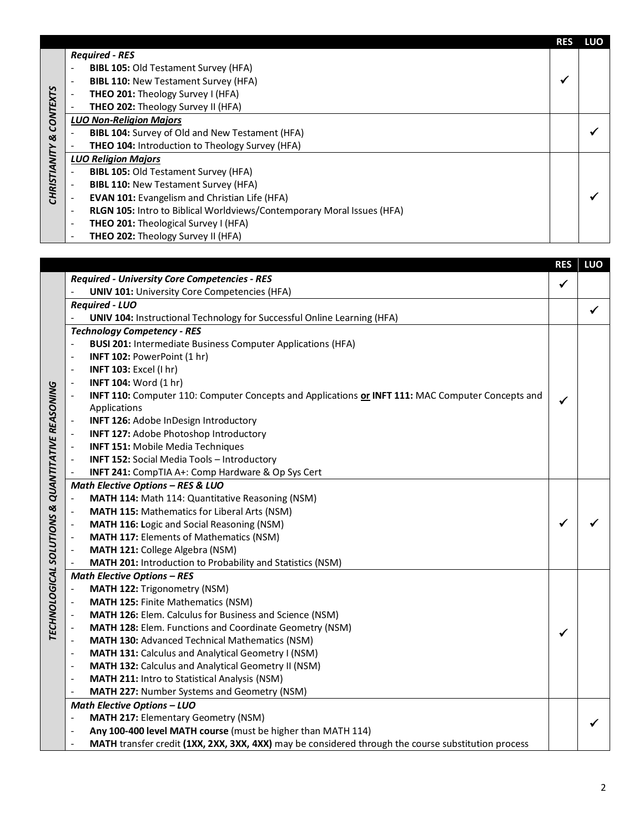|                 |                          |                                                                        | <b>RES</b> | LUO |
|-----------------|--------------------------|------------------------------------------------------------------------|------------|-----|
|                 |                          | <b>Required - RES</b>                                                  |            |     |
|                 | $\overline{\phantom{a}}$ | <b>BIBL 105: Old Testament Survey (HFA)</b>                            |            |     |
|                 | $\overline{\phantom{a}}$ | <b>BIBL 110: New Testament Survey (HFA)</b>                            |            |     |
|                 |                          | THEO 201: Theology Survey I (HFA)                                      |            |     |
|                 |                          | <b>THEO 202: Theology Survey II (HFA)</b>                              |            |     |
| <b>CONTEXTS</b> |                          | <b>LUO Non-Religion Majors</b>                                         |            |     |
| త               |                          | <b>BIBL 104:</b> Survey of Old and New Testament (HFA)                 |            |     |
|                 |                          | <b>THEO 104: Introduction to Theology Survey (HFA)</b>                 |            |     |
| CHRISTIANITY    |                          | <b>LUO Religion Majors</b>                                             |            |     |
|                 |                          | <b>BIBL 105: Old Testament Survey (HFA)</b>                            |            |     |
|                 |                          | <b>BIBL 110: New Testament Survey (HFA)</b>                            |            |     |
|                 | $\overline{\phantom{a}}$ | <b>EVAN 101:</b> Evangelism and Christian Life (HFA)                   |            |     |
|                 | $\overline{\phantom{a}}$ | RLGN 105: Intro to Biblical Worldviews/Contemporary Moral Issues (HFA) |            |     |
|                 | $\overline{\phantom{a}}$ | <b>THEO 201:</b> Theological Survey I (HFA)                            |            |     |
|                 | $\overline{\phantom{a}}$ | THEO 202: Theology Survey II (HFA)                                     |            |     |

|                                      |                                                      |                                                                                                     | <b>RES</b>   | LUO |  |  |
|--------------------------------------|------------------------------------------------------|-----------------------------------------------------------------------------------------------------|--------------|-----|--|--|
|                                      | <b>Required - University Core Competencies - RES</b> |                                                                                                     |              |     |  |  |
|                                      |                                                      | <b>UNIV 101: University Core Competencies (HFA)</b>                                                 | $\checkmark$ |     |  |  |
|                                      |                                                      | <b>Required - LUO</b>                                                                               |              | ✓   |  |  |
|                                      |                                                      | <b>UNIV 104: Instructional Technology for Successful Online Learning (HFA)</b>                      |              |     |  |  |
|                                      | <b>Technology Competency - RES</b>                   |                                                                                                     |              |     |  |  |
|                                      |                                                      | <b>BUSI 201: Intermediate Business Computer Applications (HFA)</b>                                  |              |     |  |  |
|                                      | $\overline{\phantom{a}}$                             | INFT 102: PowerPoint (1 hr)                                                                         |              |     |  |  |
|                                      | $\overline{\phantom{a}}$                             | INFT 103: Excel (I hr)                                                                              |              |     |  |  |
|                                      |                                                      | <b>INFT 104: Word (1 hr)</b>                                                                        |              |     |  |  |
|                                      |                                                      | INFT 110: Computer 110: Computer Concepts and Applications or INFT 111: MAC Computer Concepts and   | ✔            |     |  |  |
|                                      |                                                      | Applications                                                                                        |              |     |  |  |
|                                      |                                                      | <b>INFT 126:</b> Adobe InDesign Introductory                                                        |              |     |  |  |
|                                      | $\overline{\phantom{a}}$                             | <b>INFT 127: Adobe Photoshop Introductory</b>                                                       |              |     |  |  |
|                                      |                                                      | <b>INFT 151: Mobile Media Techniques</b>                                                            |              |     |  |  |
|                                      |                                                      | <b>INFT 152: Social Media Tools - Introductory</b>                                                  |              |     |  |  |
| <b>QUANTITATIVE REASONING</b>        |                                                      | INFT 241: CompTIA A+: Comp Hardware & Op Sys Cert                                                   |              |     |  |  |
|                                      |                                                      | <b>Math Elective Options - RES &amp; LUO</b>                                                        |              |     |  |  |
|                                      |                                                      | MATH 114: Math 114: Quantitative Reasoning (NSM)                                                    |              |     |  |  |
|                                      |                                                      | <b>MATH 115: Mathematics for Liberal Arts (NSM)</b>                                                 |              |     |  |  |
|                                      |                                                      | MATH 116: Logic and Social Reasoning (NSM)                                                          | ✔            |     |  |  |
|                                      |                                                      | <b>MATH 117: Elements of Mathematics (NSM)</b>                                                      |              |     |  |  |
|                                      |                                                      | MATH 121: College Algebra (NSM)                                                                     |              |     |  |  |
|                                      |                                                      | MATH 201: Introduction to Probability and Statistics (NSM)                                          |              |     |  |  |
| <b>TECHNOLOGICAL SOLUTIONS &amp;</b> |                                                      | <b>Math Elective Options - RES</b>                                                                  |              |     |  |  |
|                                      |                                                      | MATH 122: Trigonometry (NSM)                                                                        |              |     |  |  |
|                                      |                                                      | <b>MATH 125: Finite Mathematics (NSM)</b>                                                           |              |     |  |  |
|                                      |                                                      | MATH 126: Elem. Calculus for Business and Science (NSM)                                             |              |     |  |  |
|                                      |                                                      | MATH 128: Elem. Functions and Coordinate Geometry (NSM)                                             | ✔            |     |  |  |
|                                      |                                                      | <b>MATH 130: Advanced Technical Mathematics (NSM)</b>                                               |              |     |  |  |
|                                      | $\overline{a}$                                       | <b>MATH 131: Calculus and Analytical Geometry I (NSM)</b>                                           |              |     |  |  |
|                                      | $\overline{\phantom{a}}$                             | MATH 132: Calculus and Analytical Geometry II (NSM)                                                 |              |     |  |  |
|                                      | $\overline{\phantom{a}}$                             | MATH 211: Intro to Statistical Analysis (NSM)                                                       |              |     |  |  |
|                                      | $\blacksquare$                                       | MATH 227: Number Systems and Geometry (NSM)                                                         |              |     |  |  |
|                                      |                                                      | <b>Math Elective Options - LUO</b>                                                                  |              |     |  |  |
|                                      |                                                      | <b>MATH 217: Elementary Geometry (NSM)</b>                                                          |              |     |  |  |
|                                      | $\overline{\phantom{a}}$                             | Any 100-400 level MATH course (must be higher than MATH 114)                                        |              |     |  |  |
|                                      |                                                      | MATH transfer credit (1XX, 2XX, 3XX, 4XX) may be considered through the course substitution process |              |     |  |  |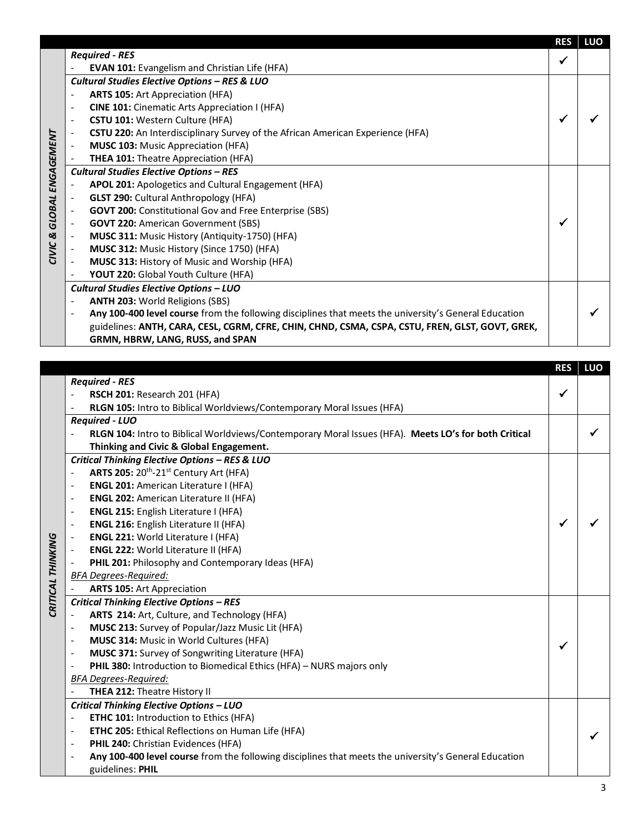|                          |                          |                                                                                                       | <b>RES</b>   | LUO |
|--------------------------|--------------------------|-------------------------------------------------------------------------------------------------------|--------------|-----|
|                          |                          | <b>Required - RES</b>                                                                                 | $\checkmark$ |     |
|                          |                          | <b>EVAN 101:</b> Evangelism and Christian Life (HFA)                                                  |              |     |
|                          |                          | Cultural Studies Elective Options - RES & LUO                                                         |              |     |
|                          |                          | <b>ARTS 105: Art Appreciation (HFA)</b>                                                               |              |     |
|                          | $\overline{\phantom{a}}$ | <b>CINE 101:</b> Cinematic Arts Appreciation I (HFA)                                                  |              |     |
|                          |                          | CSTU 101: Western Culture (HFA)                                                                       |              |     |
|                          |                          | <b>CSTU 220:</b> An Interdisciplinary Survey of the African American Experience (HFA)                 |              |     |
|                          |                          | <b>MUSC 103: Music Appreciation (HFA)</b>                                                             |              |     |
| <b>GLOBAL ENGAGEMENT</b> |                          | <b>THEA 101: Theatre Appreciation (HFA)</b>                                                           |              |     |
|                          |                          | <b>Cultural Studies Elective Options - RES</b>                                                        |              |     |
|                          |                          | APOL 201: Apologetics and Cultural Engagement (HFA)                                                   |              |     |
|                          |                          | <b>GLST 290: Cultural Anthropology (HFA)</b>                                                          |              |     |
|                          |                          | <b>GOVT 200: Constitutional Gov and Free Enterprise (SBS)</b>                                         |              |     |
|                          | $\overline{\phantom{a}}$ | <b>GOVT 220: American Government (SBS)</b>                                                            | √            |     |
|                          | $\overline{\phantom{a}}$ | MUSC 311: Music History (Antiquity-1750) (HFA)                                                        |              |     |
| CIVIC &                  |                          | MUSC 312: Music History (Since 1750) (HFA)                                                            |              |     |
|                          | $\overline{\phantom{a}}$ | MUSC 313: History of Music and Worship (HFA)                                                          |              |     |
|                          |                          | YOUT 220: Global Youth Culture (HFA)                                                                  |              |     |
|                          |                          | Cultural Studies Elective Options - LUO                                                               |              |     |
|                          |                          | <b>ANTH 203: World Religions (SBS)</b>                                                                |              |     |
|                          |                          | Any 100-400 level course from the following disciplines that meets the university's General Education |              |     |
|                          |                          | guidelines: ANTH, CARA, CESL, CGRM, CFRE, CHIN, CHND, CSMA, CSPA, CSTU, FREN, GLST, GOVT, GREK,       |              |     |
|                          |                          | GRMN, HBRW, LANG, RUSS, and SPAN                                                                      |              |     |

|                   |                                                |                                                                                                       | <b>RES</b> | LUO |  |  |  |  |
|-------------------|------------------------------------------------|-------------------------------------------------------------------------------------------------------|------------|-----|--|--|--|--|
|                   |                                                | <b>Required - RES</b>                                                                                 |            |     |  |  |  |  |
|                   |                                                | RSCH 201: Research 201 (HFA)                                                                          | ✔          |     |  |  |  |  |
|                   | $\qquad \qquad \blacksquare$                   | RLGN 105: Intro to Biblical Worldviews/Contemporary Moral Issues (HFA)                                |            |     |  |  |  |  |
|                   |                                                | <b>Required - LUO</b>                                                                                 |            |     |  |  |  |  |
|                   |                                                | RLGN 104: Intro to Biblical Worldviews/Contemporary Moral Issues (HFA). Meets LO's for both Critical  |            |     |  |  |  |  |
|                   |                                                | Thinking and Civic & Global Engagement.                                                               |            |     |  |  |  |  |
|                   | Critical Thinking Elective Options - RES & LUO |                                                                                                       |            |     |  |  |  |  |
|                   | $\overline{\phantom{a}}$                       | ARTS 205: 20 <sup>th</sup> -21 <sup>st</sup> Century Art (HFA)                                        |            |     |  |  |  |  |
|                   |                                                | <b>ENGL 201: American Literature I (HFA)</b>                                                          |            |     |  |  |  |  |
|                   | $\overline{\phantom{a}}$                       | <b>ENGL 202: American Literature II (HFA)</b>                                                         |            |     |  |  |  |  |
|                   | $\overline{\phantom{a}}$                       | ENGL 215: English Literature I (HFA)                                                                  |            |     |  |  |  |  |
|                   | $\overline{\phantom{a}}$                       | <b>ENGL 216: English Literature II (HFA)</b>                                                          |            |     |  |  |  |  |
|                   |                                                | ENGL 221: World Literature I (HFA)                                                                    |            |     |  |  |  |  |
|                   | $\overline{\phantom{a}}$                       | ENGL 222: World Literature II (HFA)                                                                   |            |     |  |  |  |  |
|                   |                                                | PHIL 201: Philosophy and Contemporary Ideas (HFA)                                                     |            |     |  |  |  |  |
|                   |                                                | <b>BFA Degrees-Required:</b>                                                                          |            |     |  |  |  |  |
|                   |                                                | <b>ARTS 105: Art Appreciation</b>                                                                     |            |     |  |  |  |  |
| CRITICAL THINKING |                                                | <b>Critical Thinking Elective Options - RES</b>                                                       |            |     |  |  |  |  |
|                   |                                                | ARTS 214: Art, Culture, and Technology (HFA)                                                          |            |     |  |  |  |  |
|                   |                                                | MUSC 213: Survey of Popular/Jazz Music Lit (HFA)                                                      |            |     |  |  |  |  |
|                   | $\overline{\phantom{a}}$                       | MUSC 314: Music in World Cultures (HFA)                                                               | ✔          |     |  |  |  |  |
|                   | $\overline{\phantom{a}}$                       | MUSC 371: Survey of Songwriting Literature (HFA)                                                      |            |     |  |  |  |  |
|                   | $\overline{\phantom{a}}$                       | <b>PHIL 380:</b> Introduction to Biomedical Ethics (HFA) - NURS majors only                           |            |     |  |  |  |  |
|                   |                                                | <b>BFA Degrees-Required:</b>                                                                          |            |     |  |  |  |  |
|                   |                                                | THEA 212: Theatre History II                                                                          |            |     |  |  |  |  |
|                   |                                                | Critical Thinking Elective Options - LUO                                                              |            |     |  |  |  |  |
|                   | $\overline{\phantom{a}}$                       | ETHC 101: Introduction to Ethics (HFA)                                                                |            |     |  |  |  |  |
|                   | $\overline{\phantom{a}}$                       | <b>ETHC 205: Ethical Reflections on Human Life (HFA)</b>                                              |            |     |  |  |  |  |
|                   | $\blacksquare$                                 | PHIL 240: Christian Evidences (HFA)                                                                   |            |     |  |  |  |  |
|                   | $\overline{\phantom{a}}$                       | Any 100-400 level course from the following disciplines that meets the university's General Education |            |     |  |  |  |  |
|                   |                                                | guidelines: PHIL                                                                                      |            |     |  |  |  |  |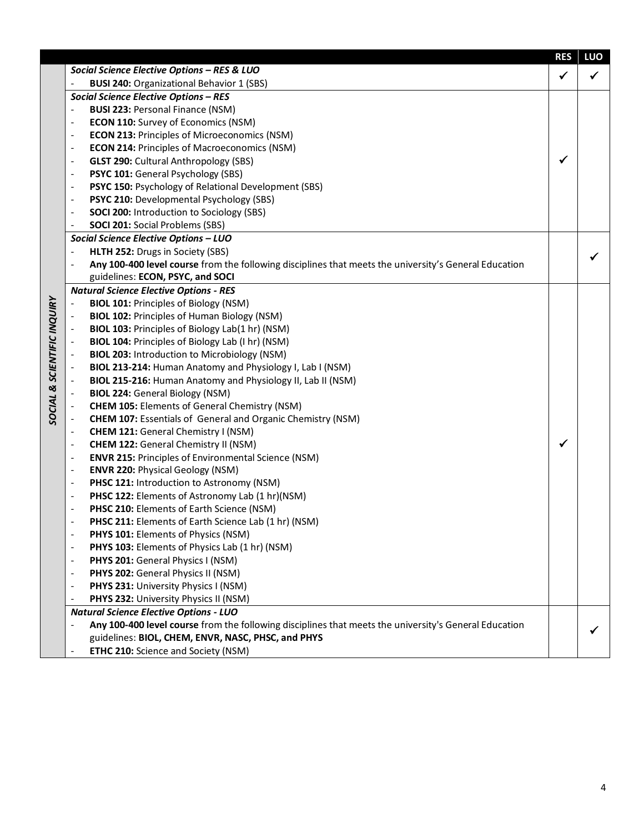|                           |                                                                                                                                              | <b>RES</b>   | LUO |  |  |  |  |  |
|---------------------------|----------------------------------------------------------------------------------------------------------------------------------------------|--------------|-----|--|--|--|--|--|
|                           | Social Science Elective Options - RES & LUO                                                                                                  | $\checkmark$ | ✓   |  |  |  |  |  |
|                           | <b>BUSI 240: Organizational Behavior 1 (SBS)</b>                                                                                             |              |     |  |  |  |  |  |
|                           | <b>Social Science Elective Options - RES</b>                                                                                                 |              |     |  |  |  |  |  |
|                           | <b>BUSI 223: Personal Finance (NSM)</b>                                                                                                      |              |     |  |  |  |  |  |
|                           | <b>ECON 110:</b> Survey of Economics (NSM)<br>$\overline{\phantom{a}}$                                                                       |              |     |  |  |  |  |  |
|                           | <b>ECON 213: Principles of Microeconomics (NSM)</b><br>$\overline{\phantom{a}}$                                                              |              |     |  |  |  |  |  |
|                           | <b>ECON 214: Principles of Macroeconomics (NSM)</b><br>$\overline{\phantom{a}}$                                                              |              |     |  |  |  |  |  |
|                           | <b>GLST 290: Cultural Anthropology (SBS)</b><br>$\overline{\phantom{a}}$                                                                     | ✔            |     |  |  |  |  |  |
|                           | PSYC 101: General Psychology (SBS)<br>$\overline{\phantom{a}}$                                                                               |              |     |  |  |  |  |  |
|                           | PSYC 150: Psychology of Relational Development (SBS)<br>$\overline{\phantom{a}}$                                                             |              |     |  |  |  |  |  |
|                           | PSYC 210: Developmental Psychology (SBS)<br>$\overline{\phantom{a}}$                                                                         |              |     |  |  |  |  |  |
|                           | <b>SOCI 200: Introduction to Sociology (SBS)</b><br>$\overline{\phantom{a}}$                                                                 |              |     |  |  |  |  |  |
|                           | <b>SOCI 201: Social Problems (SBS)</b><br>$\overline{\phantom{a}}$                                                                           |              |     |  |  |  |  |  |
|                           | Social Science Elective Options - LUO                                                                                                        |              |     |  |  |  |  |  |
|                           | HLTH 252: Drugs in Society (SBS)                                                                                                             |              | ✔   |  |  |  |  |  |
|                           | Any 100-400 level course from the following disciplines that meets the university's General Education                                        |              |     |  |  |  |  |  |
|                           | guidelines: ECON, PSYC, and SOCI                                                                                                             |              |     |  |  |  |  |  |
|                           | <b>Natural Science Elective Options - RES</b>                                                                                                |              |     |  |  |  |  |  |
| <b>SCIENTIFIC INQUIRY</b> | <b>BIOL 101: Principles of Biology (NSM)</b>                                                                                                 |              |     |  |  |  |  |  |
|                           | <b>BIOL 102: Principles of Human Biology (NSM)</b>                                                                                           |              |     |  |  |  |  |  |
|                           | BIOL 103: Principles of Biology Lab(1 hr) (NSM)                                                                                              |              |     |  |  |  |  |  |
|                           | BIOL 104: Principles of Biology Lab (I hr) (NSM)                                                                                             |              |     |  |  |  |  |  |
|                           | <b>BIOL 203: Introduction to Microbiology (NSM)</b>                                                                                          |              |     |  |  |  |  |  |
|                           | BIOL 213-214: Human Anatomy and Physiology I, Lab I (NSM)                                                                                    |              |     |  |  |  |  |  |
|                           | BIOL 215-216: Human Anatomy and Physiology II, Lab II (NSM)                                                                                  |              |     |  |  |  |  |  |
|                           | <b>BIOL 224: General Biology (NSM)</b>                                                                                                       |              |     |  |  |  |  |  |
| SOCIAL &                  | <b>CHEM 105: Elements of General Chemistry (NSM)</b>                                                                                         |              |     |  |  |  |  |  |
|                           | <b>CHEM 107: Essentials of General and Organic Chemistry (NSM)</b><br>$\overline{\phantom{a}}$<br><b>CHEM 121: General Chemistry I (NSM)</b> |              |     |  |  |  |  |  |
|                           | $\overline{\phantom{a}}$<br><b>CHEM 122: General Chemistry II (NSM)</b><br>$\overline{\phantom{a}}$                                          | ✔            |     |  |  |  |  |  |
|                           | <b>ENVR 215: Principles of Environmental Science (NSM)</b><br>$\overline{\phantom{a}}$                                                       |              |     |  |  |  |  |  |
|                           | <b>ENVR 220: Physical Geology (NSM)</b><br>$\overline{\phantom{a}}$                                                                          |              |     |  |  |  |  |  |
|                           | PHSC 121: Introduction to Astronomy (NSM)<br>$\overline{\phantom{a}}$                                                                        |              |     |  |  |  |  |  |
|                           | PHSC 122: Elements of Astronomy Lab (1 hr)(NSM)<br>$\overline{\phantom{a}}$                                                                  |              |     |  |  |  |  |  |
|                           | PHSC 210: Elements of Earth Science (NSM)<br>$\overline{\phantom{a}}$                                                                        |              |     |  |  |  |  |  |
|                           | PHSC 211: Elements of Earth Science Lab (1 hr) (NSM)                                                                                         |              |     |  |  |  |  |  |
|                           | PHYS 101: Elements of Physics (NSM)                                                                                                          |              |     |  |  |  |  |  |
|                           | PHYS 103: Elements of Physics Lab (1 hr) (NSM)                                                                                               |              |     |  |  |  |  |  |
|                           | PHYS 201: General Physics I (NSM)                                                                                                            |              |     |  |  |  |  |  |
|                           | PHYS 202: General Physics II (NSM)                                                                                                           |              |     |  |  |  |  |  |
|                           | PHYS 231: University Physics I (NSM)                                                                                                         |              |     |  |  |  |  |  |
|                           | PHYS 232: University Physics II (NSM)                                                                                                        |              |     |  |  |  |  |  |
|                           | <b>Natural Science Elective Options - LUO</b>                                                                                                |              |     |  |  |  |  |  |
|                           | Any 100-400 level course from the following disciplines that meets the university's General Education                                        |              |     |  |  |  |  |  |
|                           | guidelines: BIOL, CHEM, ENVR, NASC, PHSC, and PHYS                                                                                           |              |     |  |  |  |  |  |
|                           | ETHC 210: Science and Society (NSM)<br>$\overline{\phantom{a}}$                                                                              |              |     |  |  |  |  |  |